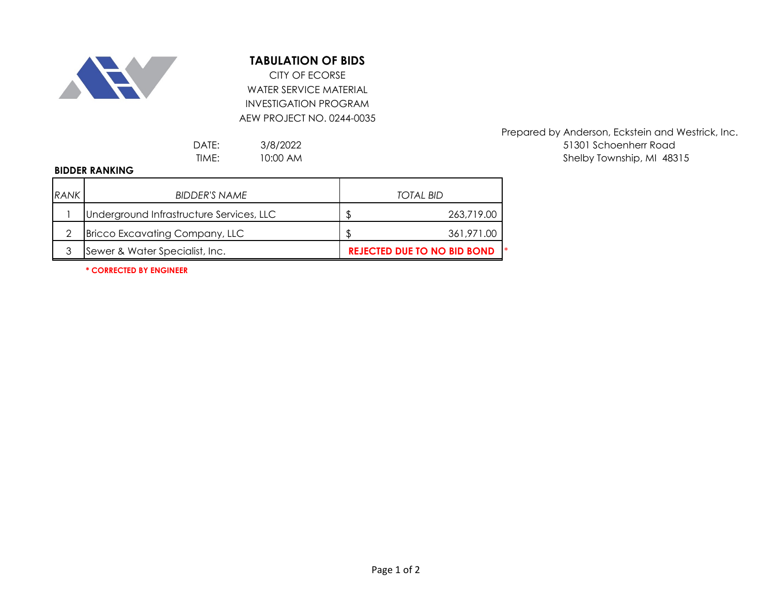

## **TABULATION OF BIDS**

WATER SERVICE MATERIAL INVESTIGATION PROGRAM AEW PROJECT NO. 0244-0035 CITY OF ECORSE

3/8/2022 10:00 AM

## **BIDDER RANKING**

| <b>RANK</b> | BIDDER'S NAME                            | TOTAL BID                          |
|-------------|------------------------------------------|------------------------------------|
|             | Underground Infrastructure Services, LLC | 263,719.00                         |
| ◠           | <b>Bricco Excavating Company, LLC</b>    | 361,971.00                         |
| ર           | Sewer & Water Specialist, Inc.           | <b>REJECTED DUE TO NO BID BOND</b> |

Prepared by Anderson, Eckstein and Westrick, Inc. DATE: 3/8/2022 3/8/2022 TIME: 10:00 AM 18315

**\* CORRECTED BY ENGINEER**